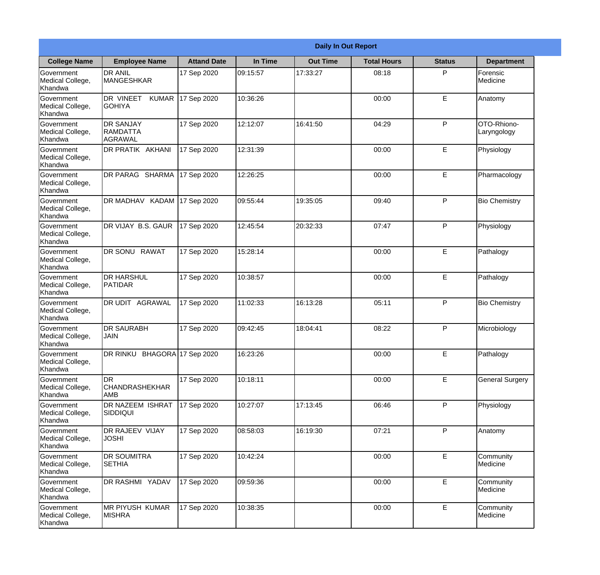|                                                  |                                                |                    |          | <b>Daily In Out Report</b> |                    |               |                            |  |
|--------------------------------------------------|------------------------------------------------|--------------------|----------|----------------------------|--------------------|---------------|----------------------------|--|
| <b>College Name</b>                              | <b>Employee Name</b>                           | <b>Attand Date</b> | In Time  | <b>Out Time</b>            | <b>Total Hours</b> | <b>Status</b> | <b>Department</b>          |  |
| Government<br>Medical College,<br>Khandwa        | <b>DR ANIL</b><br><b>MANGESHKAR</b>            | 17 Sep 2020        | 09:15:57 | 17:33:27                   | 08:18              | P             | Forensic<br>Medicine       |  |
| Government<br>Medical College,<br>Khandwa        | DR VINEET<br><b>KUMAR</b><br><b>GOHIYA</b>     | 17 Sep 2020        | 10:36:26 |                            | 00:00              | E             | Anatomy                    |  |
| <b>Government</b><br>Medical College,<br>Khandwa | <b>DR SANJAY</b><br><b>RAMDATTA</b><br>AGRAWAL | 17 Sep 2020        | 12:12:07 | 16:41:50                   | 04:29              | P             | OTO-Rhiono-<br>Laryngology |  |
| Government<br>Medical College,<br>Khandwa        | DR PRATIK AKHANI                               | 17 Sep 2020        | 12:31:39 |                            | 00:00              | E             | Physiology                 |  |
| Government<br>Medical College,<br>Khandwa        | DR PARAG SHARMA                                | 17 Sep 2020        | 12:26:25 |                            | 00:00              | E             | Pharmacology               |  |
| Government<br>Medical College,<br>Khandwa        | DR MADHAV KADAM                                | 17 Sep 2020        | 09:55:44 | 19:35:05                   | 09:40              | P             | <b>Bio Chemistry</b>       |  |
| <b>Government</b><br>Medical College,<br>Khandwa | DR VIJAY B.S. GAUR                             | 17 Sep 2020        | 12:45:54 | 20:32:33                   | 07:47              | P             | Physiology                 |  |
| Government<br>Medical College,<br>Khandwa        | <b>DR SONU RAWAT</b>                           | 17 Sep 2020        | 15:28:14 |                            | 00:00              | E             | Pathalogy                  |  |
| Government<br>Medical College,<br>Khandwa        | <b>DR HARSHUL</b><br>PATIDAR                   | 17 Sep 2020        | 10:38:57 |                            | 00:00              | E             | Pathalogy                  |  |
| Government<br>Medical College,<br>Khandwa        | <b>DR UDIT AGRAWAL</b>                         | 17 Sep 2020        | 11:02:33 | 16:13:28                   | 05:11              | P             | <b>Bio Chemistry</b>       |  |
| Government<br>Medical College,<br>Khandwa        | IDR SAURABH<br><b>JAIN</b>                     | 17 Sep 2020        | 09:42:45 | 18:04:41                   | 08:22              | $\mathsf{P}$  | Microbiology               |  |
| Government<br>Medical College,<br>Khandwa        | DR RINKU BHAGORA 17 Sep 2020                   |                    | 16:23:26 |                            | 00:00              | E             | Pathalogy                  |  |
| Government<br>Medical College,<br>Khandwa        | IDR.<br><b>CHANDRASHEKHAR</b><br>AMB           | 17 Sep 2020        | 10:18:11 |                            | 00:00              | E             | <b>General Surgery</b>     |  |
| Government<br>Medical College,<br>Khandwa        | DR NAZEEM ISHRAT<br>SIDDIQUI                   | 17 Sep 2020        | 10:27:07 | 17:13:45                   | 06:46              | P             | Physiology                 |  |
| Government<br>Medical College,<br>Khandwa        | <b>DR RAJEEV VIJAY</b><br><b>JOSHI</b>         | 17 Sep 2020        | 08:58:03 | 16:19:30                   | 07:21              | $\mathsf{P}$  | Anatomy                    |  |
| Government<br>Medical College,<br>Khandwa        | <b>DR SOUMITRA</b><br><b>SETHIA</b>            | 17 Sep 2020        | 10:42:24 |                            | 00:00              | E             | Community<br>Medicine      |  |
| Government<br>Medical College,<br>Khandwa        | DR RASHMI YADAV                                | 17 Sep 2020        | 09:59:36 |                            | 00:00              | E             | Community<br>Medicine      |  |
| Government<br>Medical College,<br>Khandwa        | <b>MR PIYUSH KUMAR</b><br><b>MISHRA</b>        | 17 Sep 2020        | 10:38:35 |                            | 00:00              | E             | Community<br>Medicine      |  |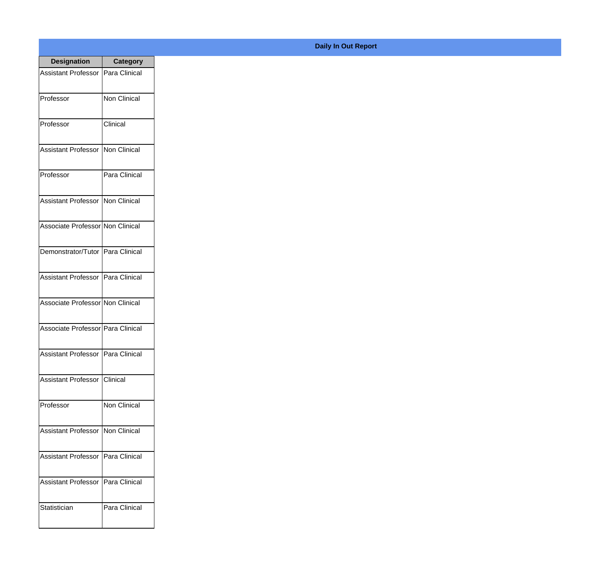| <b>Designation</b>                  | <b>Category</b>     |
|-------------------------------------|---------------------|
| Assistant Professor   Para Clinical |                     |
| Professor                           | <b>Non Clinical</b> |
| Professor                           | Clinical            |
| Assistant Professor                 | Non Clinical        |
| Professor                           | Para Clinical       |
| Assistant Professor   Non Clinical  |                     |
| Associate Professor Non Clinical    |                     |
| Demonstrator/Tutor   Para Clinical  |                     |
| Assistant Professor   Para Clinical |                     |
| Associate Professor Non Clinical    |                     |
| Associate Professor Para Clinical   |                     |
| Assistant Professor                 | Para Clinical       |
| <b>Assistant Professor</b>          | Clinical            |
| Professor                           | <b>Non Clinical</b> |
| <b>Assistant Professor</b>          | Non Clinical        |
| <b>Assistant Professor</b>          | Para Clinical       |
| <b>Assistant Professor</b>          | Para Clinical       |
| Statistician                        | Para Clinical       |

## **Daily In Out Report**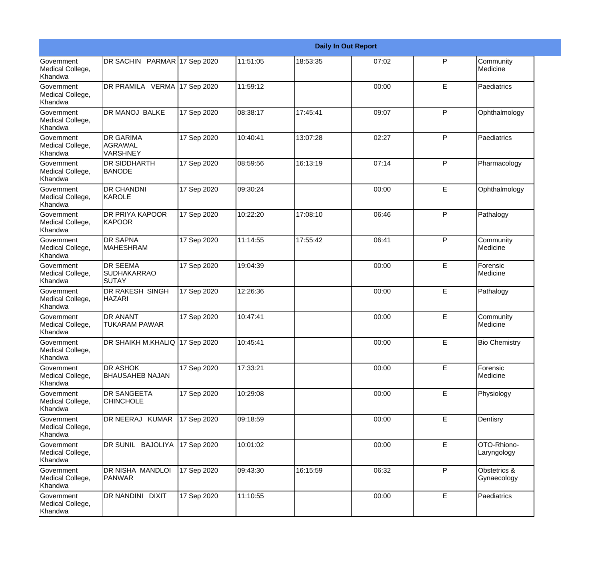|                                                  |                                                       |             |          |          | <b>Daily In Out Report</b> |   |                             |
|--------------------------------------------------|-------------------------------------------------------|-------------|----------|----------|----------------------------|---|-----------------------------|
| Government<br>Medical College,<br>Khandwa        | DR SACHIN PARMAR 17 Sep 2020                          |             | 11:51:05 | 18:53:35 | 07:02                      | P | Community<br>Medicine       |
| Government<br>Medical College,<br>Khandwa        | DR PRAMILA VERMA 17 Sep 2020                          |             | 11:59:12 |          | 00:00                      | E | Paediatrics                 |
| <b>Government</b><br>Medical College,<br>Khandwa | DR MANOJ BALKE                                        | 17 Sep 2020 | 08:38:17 | 17:45:41 | 09:07                      | P | Ophthalmology               |
| <b>Government</b><br>Medical College,<br>Khandwa | <b>DR GARIMA</b><br>AGRAWAL<br><b>VARSHNEY</b>        | 17 Sep 2020 | 10:40:41 | 13:07:28 | 02:27                      | P | Paediatrics                 |
| Government<br>Medical College,<br>Khandwa        | <b>DR SIDDHARTH</b><br><b>BANODE</b>                  | 17 Sep 2020 | 08:59:56 | 16:13:19 | 07:14                      | P | Pharmacology                |
| Government<br>Medical College,<br>Khandwa        | <b>DR CHANDNI</b><br><b>KAROLE</b>                    | 17 Sep 2020 | 09:30:24 |          | 00:00                      | E | Ophthalmology               |
| Government<br>Medical College,<br>Khandwa        | <b>DR PRIYA KAPOOR</b><br><b>KAPOOR</b>               | 17 Sep 2020 | 10:22:20 | 17:08:10 | 06:46                      | P | Pathalogy                   |
| Government<br>Medical College,<br>Khandwa        | <b>DR SAPNA</b><br><b>MAHESHRAM</b>                   | 17 Sep 2020 | 11:14:55 | 17:55:42 | 06:41                      | P | Community<br>Medicine       |
| Government<br>Medical College,<br>Khandwa        | <b>DR SEEMA</b><br><b>SUDHAKARRAO</b><br><b>SUTAY</b> | 17 Sep 2020 | 19:04:39 |          | 00:00                      | E | Forensic<br>Medicine        |
| Government<br>Medical College,<br>Khandwa        | <b>DR RAKESH SINGH</b><br><b>HAZARI</b>               | 17 Sep 2020 | 12:26:36 |          | 00:00                      | E | Pathalogy                   |
| <b>Government</b><br>Medical College,<br>Khandwa | <b>DR ANANT</b><br><b>TUKARAM PAWAR</b>               | 17 Sep 2020 | 10:47:41 |          | 00:00                      | E | Community<br>Medicine       |
| Government<br>Medical College,<br>Khandwa        | DR SHAIKH M.KHALIQ 17 Sep 2020                        |             | 10:45:41 |          | 00:00                      | E | <b>Bio Chemistry</b>        |
| Government<br>Medical College,<br>Khandwa        | <b>DR ASHOK</b><br><b>BHAUSAHEB NAJAN</b>             | 17 Sep 2020 | 17:33:21 |          | 00:00                      | E | Forensic<br>Medicine        |
| Government<br>Medical College,<br>Khandwa        | <b>DR SANGEETA</b><br><b>CHINCHOLE</b>                | 17 Sep 2020 | 10:29:08 |          | 00:00                      | E | Physiology                  |
| Government<br>Medical College,<br>Khandwa        | DR NEERAJ KUMAR                                       | 17 Sep 2020 | 09:18:59 |          | 00:00                      | E | Dentisry                    |
| Government<br>Medical College,<br>Khandwa        | DR SUNIL BAJOLIYA                                     | 17 Sep 2020 | 10:01:02 |          | 00:00                      | E | OTO-Rhiono-<br>Laryngology  |
| Government<br>Medical College,<br>Khandwa        | DR NISHA MANDLOI<br>PANWAR                            | 17 Sep 2020 | 09:43:30 | 16:15:59 | 06:32                      | P | Obstetrics &<br>Gynaecology |
| Government<br>Medical College,<br>Khandwa        | DR NANDINI DIXIT                                      | 17 Sep 2020 | 11:10:55 |          | 00:00                      | E | Paediatrics                 |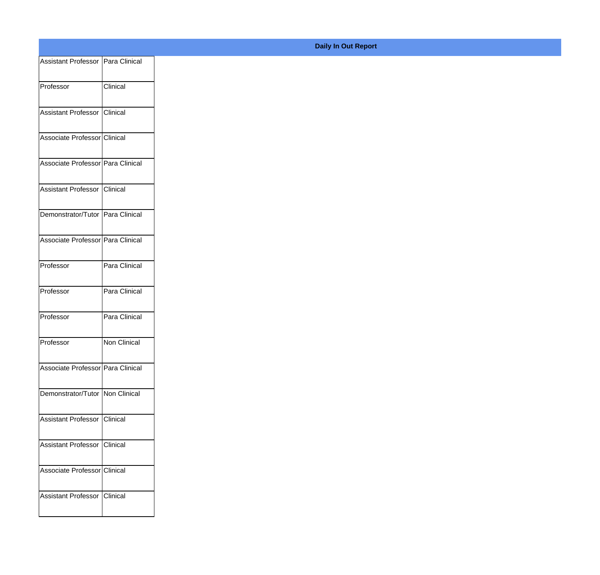| Assistant Professor   Para Clinical |               |
|-------------------------------------|---------------|
| Professor                           | Clinical      |
|                                     |               |
| Assistant Professor                 | Clinical      |
| Associate Professor Clinical        |               |
|                                     |               |
| Associate Professor Para Clinical   |               |
| Assistant Professor Clinical        |               |
| Demonstrator/Tutor Para Clinical    |               |
|                                     |               |
| Associate Professor Para Clinical   |               |
| Professor                           | Para Clinical |
|                                     |               |
| Professor                           | Para Clinical |
| Professor                           | Para Clinical |
|                                     |               |
| Professor                           | Non Clinical  |
| Associate Professor Para Clinical   |               |
| Demonstrator/Tutor Non Clinical     |               |
|                                     |               |
| Assistant Professor Clinical        |               |
| Assistant Professor Clinical        |               |
|                                     |               |
| Associate Professor Clinical        |               |
| Assistant Professor Clinical        |               |
|                                     |               |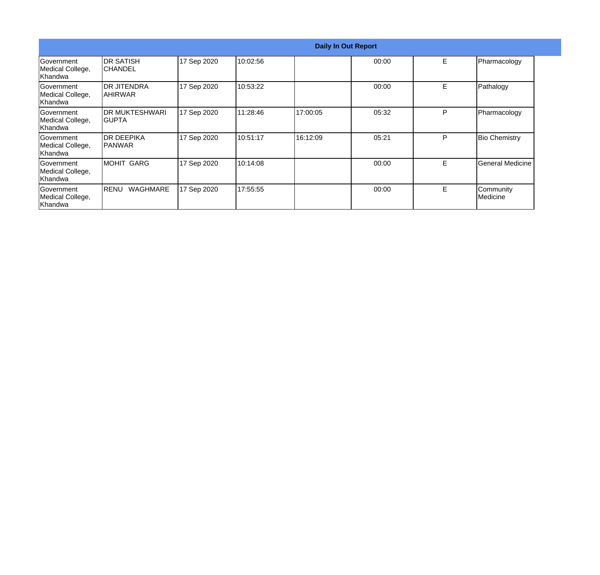|                                                          |                               |             |          | <b>Daily In Out Report</b> |       |   |                       |  |
|----------------------------------------------------------|-------------------------------|-------------|----------|----------------------------|-------|---|-----------------------|--|
| Government<br>Medical College,<br> Khandwa               | IDR SATISH<br><b>ICHANDEL</b> | 17 Sep 2020 | 10:02:56 |                            | 00:00 | E | Pharmacology          |  |
| Government<br>Medical College,<br> Khandwa               | IDR JITENDRA<br> AHIRWAR      | 17 Sep 2020 | 10:53:22 |                            | 00:00 | E | Pathalogy             |  |
| Government<br>Medical College,<br> Khandwa               | IDR MUKTESHWARI<br>IGUPTA     | 17 Sep 2020 | 11:28:46 | 17:00:05                   | 05:32 | P | Pharmacology          |  |
| Government<br>Medical College,<br>Khandwa                | IDR DEEPIKA<br>IPANWAR        | 17 Sep 2020 | 10:51:17 | 16:12:09                   | 05:21 | P | <b>Bio Chemistry</b>  |  |
| <b>IGovernment</b><br>Medical College,<br><b>Khandwa</b> | <b>MOHIT GARG</b>             | 17 Sep 2020 | 10:14:08 |                            | 00:00 | E | General Medicine      |  |
| <b>IGovernment</b><br>Medical College,<br>Khandwa        | <b>IRENU</b><br>WAGHMARE      | 17 Sep 2020 | 17:55:55 |                            | 00:00 | Е | Community<br>Medicine |  |